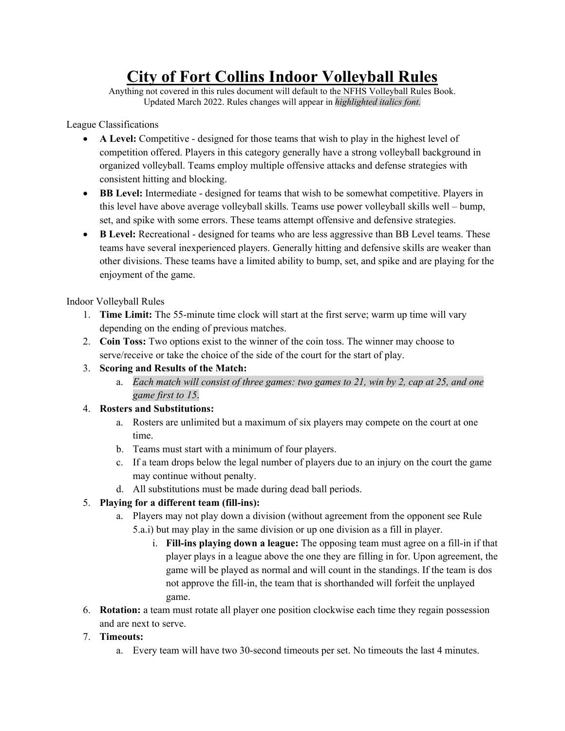# **City of Fort Collins Indoor Volleyball Rules**

Anything not covered in this rules document will default to the NFHS Volleyball Rules Book. Updated March 2022. Rules changes will appear in *highlighted italics font.*

League Classifications

- **A Level:** Competitive designed for those teams that wish to play in the highest level of competition offered. Players in this category generally have a strong volleyball background in organized volleyball. Teams employ multiple offensive attacks and defense strategies with consistent hitting and blocking.
- **BB Level:** Intermediate designed for teams that wish to be somewhat competitive. Players in this level have above average volleyball skills. Teams use power volleyball skills well – bump, set, and spike with some errors. These teams attempt offensive and defensive strategies.
- **B Level:** Recreational designed for teams who are less aggressive than BB Level teams. These teams have several inexperienced players. Generally hitting and defensive skills are weaker than other divisions. These teams have a limited ability to bump, set, and spike and are playing for the enjoyment of the game.

Indoor Volleyball Rules

- 1. **Time Limit:** The 55-minute time clock will start at the first serve; warm up time will vary depending on the ending of previous matches.
- 2. **Coin Toss:** Two options exist to the winner of the coin toss. The winner may choose to serve/receive or take the choice of the side of the court for the start of play.
- 3. **Scoring and Results of the Match:** 
	- a. *Each match will consist of three games: two games to 21, win by 2, cap at 25, and one game first to 15*.

# 4. **Rosters and Substitutions:**

- a. Rosters are unlimited but a maximum of six players may compete on the court at one time.
- b. Teams must start with a minimum of four players.
- c. If a team drops below the legal number of players due to an injury on the court the game may continue without penalty.
- d. All substitutions must be made during dead ball periods.

# 5. **Playing for a different team (fill-ins):**

- a. Players may not play down a division (without agreement from the opponent see Rule
	- 5.a.i) but may play in the same division or up one division as a fill in player.
		- i. **Fill-ins playing down a league:** The opposing team must agree on a fill-in if that player plays in a league above the one they are filling in for. Upon agreement, the game will be played as normal and will count in the standings. If the team is dos not approve the fill-in, the team that is shorthanded will forfeit the unplayed game.
- 6. **Rotation:** a team must rotate all player one position clockwise each time they regain possession and are next to serve.
- 7. **Timeouts:** 
	- a. Every team will have two 30-second timeouts per set. No timeouts the last 4 minutes.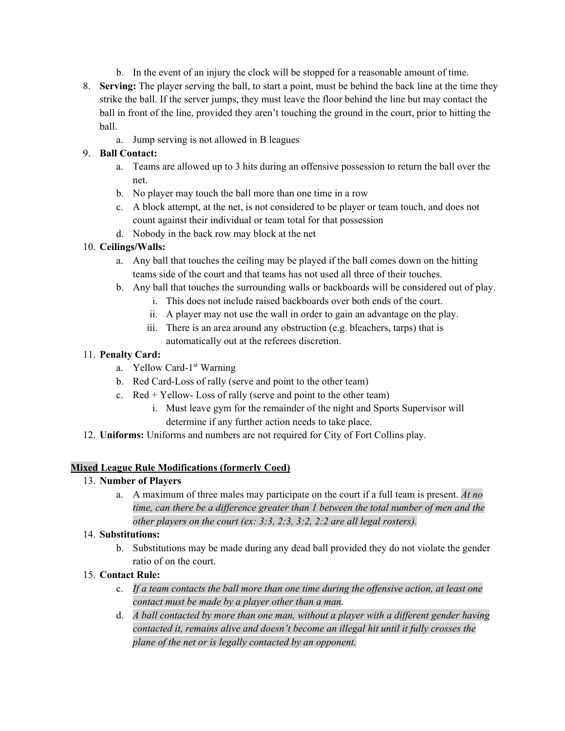- b. In the event of an injury the clock will be stopped for a reasonable amount of time.
- 8. **Serving:** The player serving the ball, to start a point, must be behind the back line at the time they strike the ball. If the server jumps, they must leave the floor behind the line but may contact the ball in front of the line, provided they aren't touching the ground in the court, prior to hitting the ball.
	- a. Jump serving is not allowed in B leagues

# 9. **Ball Contact:**

- a. Teams are allowed up to 3 hits during an offensive possession to return the ball over the net.
- b. No player may touch the ball more than one time in a row
- c. A block attempt, at the net, is not considered to be player or team touch, and does not count against their individual or team total for that possession
- d. Nobody in the back row may block at the net

# 10. **Ceilings/Walls:**

- a. Any ball that touches the ceiling may be played if the ball comes down on the hitting teams side of the court and that teams has not used all three of their touches.
- b. Any ball that touches the surrounding walls or backboards will be considered out of play.
	- i. This does not include raised backboards over both ends of the court.
	- ii. A player may not use the wall in order to gain an advantage on the play.
	- iii. There is an area around any obstruction (e.g. bleachers, tarps) that is automatically out at the referees discretion.

# 11. **Penalty Card:**

- a. Yellow Card-1<sup>st</sup> Warning
- b. Red Card-Loss of rally (serve and point to the other team)
- c.  $Red + Yellow Loss of really (serve and point to the other team)$ 
	- i. Must leave gym for the remainder of the night and Sports Supervisor will determine if any further action needs to take place.
- 12. **Uniforms:** Uniforms and numbers are not required for City of Fort Collins play.

# **Mixed League Rule Modifications (formerly Coed)**

- 13. **Number of Players** 
	- a. A maximum of three males may participate on the court if a full team is present. *At no time, can there be a difference greater than 1 between the total number of men and the other players on the court (ex: 3:3, 2:3, 3:2, 2:2 are all legal rosters).*

#### 14. **Substitutions:**

b. Substitutions may be made during any dead ball provided they do not violate the gender ratio of on the court.

# 15. **Contact Rule:**

- c. *If a team contacts the ball more than one time during the offensive action, at least one contact must be made by a player other than a man.*
- d. *A ball contacted by more than one man, without a player with a different gender having contacted it, remains alive and doesn't become an illegal hit until it fully crosses the plane of the net or is legally contacted by an opponent.*